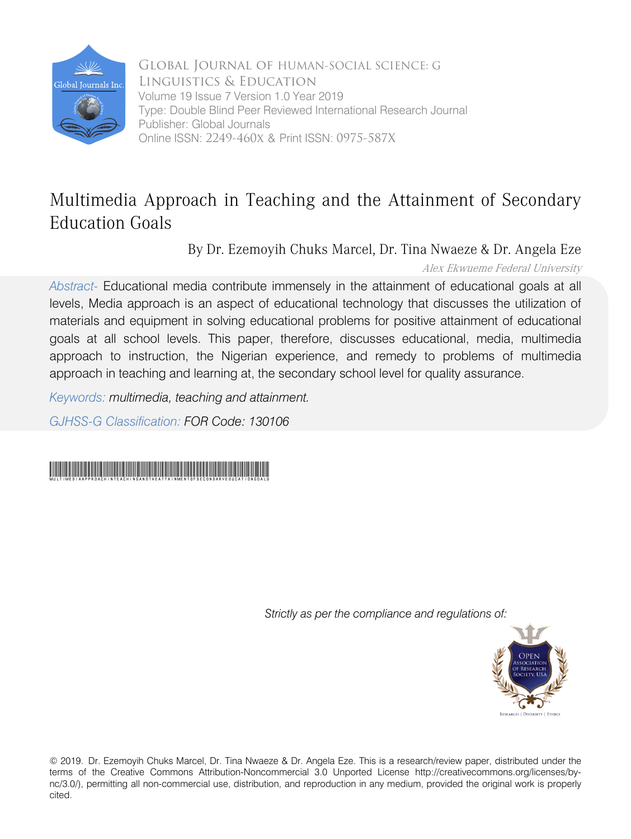

Global Journal of HUMAN-SOCIAL SCIENCE: G Linguistics & Education Volume 19 Issue 7 Version 1.0 Year 2019 Type: Double Blind Peer Reviewed International Research Journal Publisher: Global Journals Online ISSN: 2249-460x & Print ISSN: 0975-587X

## Multimedia Approach in Teaching and the Attainment of Secondary Education Goals

By Dr. Ezemoyih Chuks Marcel, Dr. Tina Nwaeze & Dr. Angela Eze

Alex Ekwueme Federal University

*Abstract-* Educational media contribute immensely in the attainment of educational goals at all levels, Media approach is an aspect of educational technology that discusses the utilization of materials and equipment in solving educational problems for positive attainment of educational goals at all school levels. This paper, therefore, discusses educational, media, multimedia approach to instruction, the Nigerian experience, and remedy to problems of multimedia approach in teaching and learning at, the secondary school level for quality assurance.

*Keywords: multimedia, teaching and attainment.* 

*GJHSS-G Classification: FOR Code: 130106*

## MultimediaApproachinTeachingandtheAttainmentofSecondaryEducationGoals

 *Strictly as per the compliance and regulations of:*



© 2019. Dr. Ezemoyih Chuks Marcel, Dr. Tina Nwaeze & Dr. Angela Eze. This is a research/review paper, distributed under the terms of the Creative Commons Attribution-Noncommercial 3.0 Unported License http://creativecommons.org/licenses/bync/3.0/), permitting all non-commercial use, distribution, and reproduction in any medium, provided the original work is properly cited.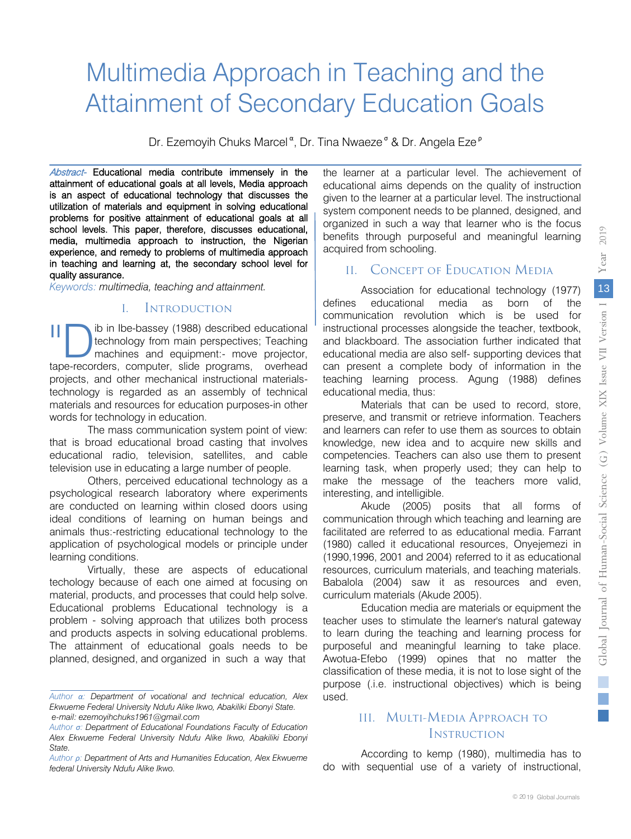# Multimedia Approach in Teaching and the Attainment of Secondary Education Goals

Dr. Ezemoyih Chuks Marcel<sup>α</sup>, Dr. Tina Nwaeze<sup>σ</sup> & Dr. Angela Eze<sup>ρ</sup>

Abstract- Educational media contribute immensely in the attainment of educational goals at all levels, Media approach is an aspect of educational technology that discusses the utilization of materials and equipment in solving educational problems for positive attainment of educational goals at all school levels. This paper, therefore, discusses educational, media, multimedia approach to instruction, the Nigerian experience, and remedy to problems of multimedia approach in teaching and learning at, the secondary school level for quality assurance.

*Keywords: multimedia, teaching and attainment.*

#### I. Introduction

ib in Ibe-bassey (1988) described educational technology from main perspectives; Teaching machines and equipment:- move projector, II bi in Ibe-bassey (1988) described educational technology from main perspectives; Teaching machines and equipment:- move projector, tape-recorders, computer, slide programs, overhead projects, and other mechanical instructional materialstechnology is regarded as an assembly of technical materials and resources for education purposes-in other words for technology in education.

The mass communication system point of view: that is broad educational broad casting that involves educational radio, television, satellites, and cable television use in educating a large number of people.

Others, perceived educational technology as a psychological research laboratory where experiments are conducted on learning within closed doors using ideal conditions of learning on human beings and animals thus:-restricting educational technology to the application of psychological models or principle under learning conditions.

Virtually, these are aspects of educational techology because of each one aimed at focusing on material, products, and processes that could help solve. Educational problems Educational technology is a problem - solving approach that utilizes both process and products aspects in solving educational problems. The attainment of educational goals needs to be planned, designed, and organized in such a way that

the learner at a particular level. The achievement of educational aims depends on the quality of instruction given to the learner at a particular level. The instructional system component needs to be planned, designed, and organized in such a way that learner who is the focus benefits through purposeful and meaningful learning acquired from schooling.

#### II. Concept of Education Media

Association for educational technology (1977) defines educational media as born of the communication revolution which is be used for instructional processes alongside the teacher, textbook, and blackboard. The association further indicated that educational media are also self- supporting devices that can present a complete body of information in the teaching learning process. Agung (1988) defines educational media, thus:

Materials that can be used to record, store, preserve, and transmit or retrieve information. Teachers and learners can refer to use them as sources to obtain knowledge, new idea and to acquire new skills and competencies. Teachers can also use them to present learning task, when properly used; they can help to make the message of the teachers more valid, interesting, and intelligible.

Akude (2005) posits that all forms of communication through which teaching and learning are facilitated are referred to as educational media. Farrant (1980) called it educational resources, Onyejemezi in (1990,1996, 2001 and 2004) referred to it as educational resources, curriculum materials, and teaching materials. Babalola (2004) saw it as resources and even, curriculum materials (Akude 2005).

Education media are materials or equipment the teacher uses to stimulate the learner's natural gateway to learn during the teaching and learning process for purposeful and meaningful learning to take place. Awotua-Efebo (1999) opines that no matter the classification of these media, it is not to lose sight of the purpose (.i.e. instructional objectives) which is being used.

#### III. Multi-Media Approach to **INSTRUCTION**

According to kemp (1980), multimedia has to do with sequential use of a variety of instructional,

*Author α: Department of vocational and technical education, Alex Ekwueme Federal University Ndufu Alike Ikwo, Abakiliki Ebonyi State. e-mail: ezemoyihchuks1961@gmail.com*

*Author σ: Department of Educational Foundations Faculty of Education Alex Ekwueme Federal University Ndufu Alike Ikwo, Abakiliki Ebonyi State.*

*Author ρ: Department of Arts and Humanities Education, Alex Ekwueme federal University Ndufu Alike Ikwo.*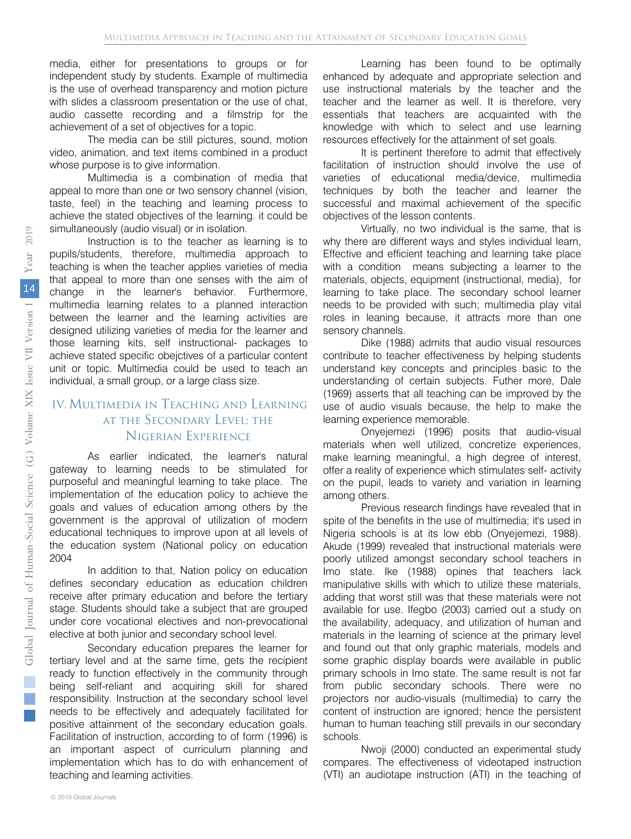media, either for presentations to groups or for independent study by students. Example of multimedia is the use of overhead transparency and motion picture with slides a classroom presentation or the use of chat, audio cassette recording and a filmstrip for the achievement of a set of objectives for a topic.

The media can be still pictures, sound, motion video, animation, and text items combined in a product whose purpose is to give information.

Multimedia is a combination of media that appeal to more than one or two sensory channel (vision, taste, feel) in the teaching and learning process to achieve the stated objectives of the learning. it could be simultaneously (audio visual) or in isolation.

Instruction is to the teacher as learning is to pupils/students, therefore, multimedia approach to teaching is when the teacher applies varieties of media that appeal to more than one senses with the aim of change in the learner's behavior. Furthermore, multimedia learning relates to a planned interaction between the learner and the learning activities are designed utilizing varieties of media for the learner and those learning kits, self instructional- packages to achieve stated specific obejctives of a particular content unit or topic. Multimedia could be used to teach an individual, a small group, or a large class size.

### IV.Multimedia in Teaching and Learning at the Secondary Level; the Nigerian Experience

As earlier indicated, the learner's natural gateway to learning needs to be stimulated for purposeful and meaningful learning to take place. The implementation of the education policy to achieve the goals and values of education among others by the government is the approval of utilization of modern educational techniques to improve upon at all levels of the education system (National policy on education 2004

In addition to that, Nation policy on education defines secondary education as education children receive after primary education and before the tertiary stage. Students should take a subject that are grouped under core vocational electives and non-prevocational elective at both junior and secondary school level.

Secondary education prepares the learner for tertiary level and at the same time, gets the recipient ready to function effectively in the community through being self-reliant and acquiring skill for shared responsibility. Instruction at the secondary school level needs to be effectively and adequately facilitated for positive attainment of the secondary education goals. Facilitation of instruction, according to of form (1996) is an important aspect of curriculum planning and implementation which has to do with enhancement of teaching and learning activities.

Learning has been found to be optimally enhanced by adequate and appropriate selection and use instructional materials by the teacher and the teacher and the learner as well. It is therefore, very essentials that teachers are acquainted with the knowledge with which to select and use learning resources effectively for the attainment of set goals.

It is pertinent therefore to admit that effectively facilitation of instruction should involve the use of varieties of educational media/device, multimedia techniques by both the teacher and learner the successful and maximal achievement of the specific objectives of the lesson contents.

Virtually, no two individual is the same, that is why there are different ways and styles individual learn, Effective and efficient teaching and learning take place with a condition means subjecting a learner to the materials, objects, equipment (instructional, media), for learning to take place. The secondary school learner needs to be provided with such; multimedia play vital roles in leaning because, it attracts more than one sensory channels.

Dike (1988) admits that audio visual resources contribute to teacher effectiveness by helping students understand key concepts and principles basic to the understanding of certain subjects. Futher more, Dale (1969) asserts that all teaching can be improved by the use of audio visuals because, the help to make the learning experience memorable.

Onyejemezi (1996) posits that audio-visual materials when well utilized, concretize experiences, make learning meaningful, a high degree of interest, offer a reality of experience which stimulates self- activity on the pupil, leads to variety and variation in learning among others.

Previous research findings have revealed that in spite of the benefits in the use of multimedia; it's used in Nigeria schools is at its low ebb (Onyejemezi, 1988). Akude (1999) revealed that instructional materials were poorly utilized amongst secondary school teachers in Imo state. Ike (1988) opines that teachers lack manipulative skills with which to utilize these materials, adding that worst still was that these materials were not available for use. Ifegbo (2003) carried out a study on the availability, adequacy, and utilization of human and materials in the learning of science at the primary level and found out that only graphic materials, models and some graphic display boards were available in public primary schools in Imo state. The same result is not far from public secondary schools. There were no projectors nor audio-visuals (multimedia) to carry the content of instruction are ignored; hence the persistent human to human teaching still prevails in our secondary schools.

Nwoji (2000) conducted an experimental study compares. The effectiveness of videotaped instruction (VTI) an audiotape instruction (ATI) in the teaching of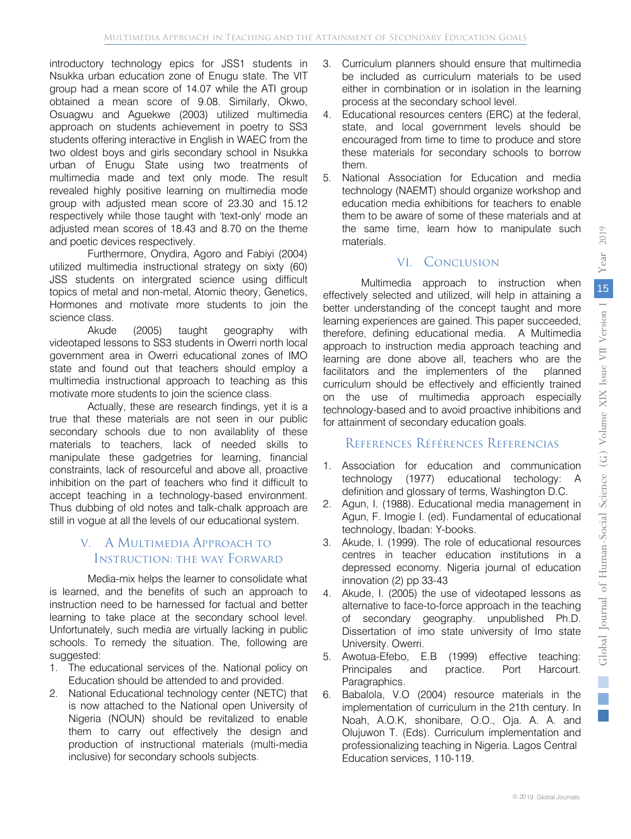introductory technology epics for JSS1 students in Nsukka urban education zone of Enugu state. The VIT group had a mean score of 14.07 while the ATI group obtained a mean score of 9.08. Similarly, Okwo, Osuagwu and Aguekwe (2003) utilized multimedia approach on students achievement in poetry to SS3 students offering interactive in English in WAEC from the two oldest boys and girls secondary school in Nsukka urban of Enugu State using two treatments of multimedia made and text only mode. The result revealed highly positive learning on multimedia mode group with adjusted mean score of 23.30 and 15.12 respectively while those taught with 'text-only' mode an adjusted mean scores of 18.43 and 8.70 on the theme and poetic devices respectively.

Furthermore, Onydira, Agoro and Fabiyi (2004) utilized multimedia instructional strategy on sixty (60) JSS students on intergrated science using difficult topics of metal and non-metal, Atomic theory, Genetics, Hormones and motivate more students to join the science class.

Akude (2005) taught geography with videotaped lessons to SS3 students in Owerri north local government area in Owerri educational zones of IMO state and found out that teachers should employ a multimedia instructional approach to teaching as this motivate more students to join the science class.

Actually, these are research findings, yet it is a true that these materials are not seen in our public secondary schools due to non availablity of these materials to teachers, lack of needed skills to manipulate these gadgetries for learning, financial constraints, lack of resourceful and above all, proactive inhibition on the part of teachers who find it difficult to accept teaching in a technology-based environment. Thus dubbing of old notes and talk-chalk approach are still in vogue at all the levels of our educational system.

#### V. A Multimedia Approach to Instruction: the way Forward

Media-mix helps the learner to consolidate what is learned, and the benefits of such an approach to instruction need to be harnessed for factual and better learning to take place at the secondary school level. Unfortunately, such media are virtually lacking in public schools. To remedy the situation. The, following are suggested:

- 1. The educational services of the. National policy on Education should be attended to and provided.
- 2. National Educational technology center (NETC) that is now attached to the National open University of Nigeria (NOUN) should be revitalized to enable them to carry out effectively the design and production of instructional materials (multi-media inclusive) for secondary schools subjects.
- 3. Curriculum planners should ensure that multimedia be included as curriculum materials to be used either in combination or in isolation in the learning process at the secondary school level.
- 4. Educational resources centers (ERC) at the federal, state, and local government levels should be encouraged from time to time to produce and store these materials for secondary schools to borrow them.
- 5. National Association for Education and media technology (NAEMT) should organize workshop and education media exhibitions for teachers to enable them to be aware of some of these materials and at the same time, learn how to manipulate such materials.

#### VI. Conclusion

Multimedia approach to instruction when effectively selected and utilized, will help in attaining a better understanding of the concept taught and more learning experiences are gained. This paper succeeded, therefore, defining educational media. A Multimedia approach to instruction media approach teaching and learning are done above all, teachers who are the facilitators and the implementers of the planned curriculum should be effectively and efficiently trained on the use of multimedia approach especially technology-based and to avoid proactive inhibitions and for attainment of secondary education goals.

#### References Références Referencias

- 1. Association for education and communication technology (1977) educational techology: A definition and glossary of terms, Washington D.C.
- 2. Agun, I. (1988). Educational media management in Agun, F. Imogie I. (ed). Fundamental of educational technology, Ibadan: Y-books.
- 3. Akude, I. (1999). The role of educational resources centres in teacher education institutions in a depressed economy. Nigeria journal of education innovation (2) pp 33-43
- 4. Akude, I. (2005) the use of videotaped lessons as alternative to face-to-force approach in the teaching of secondary geography. unpublished Ph.D. Dissertation of imo state university of Imo state University. Owerri.
- 5. Awotua-Efebo, E.B (1999) effective teaching: Principales and practice. Port Harcourt. Paragraphics.
- 6. Babalola, V.O (2004) resource materials in the implementation of curriculum in the 21th century. In Noah, A.O.K, shonibare, O.O., Oja. A. A. and Olujuwon T. (Eds). Curriculum implementation and professionalizing teaching in Nigeria. Lagos Central Education services, 110-119.